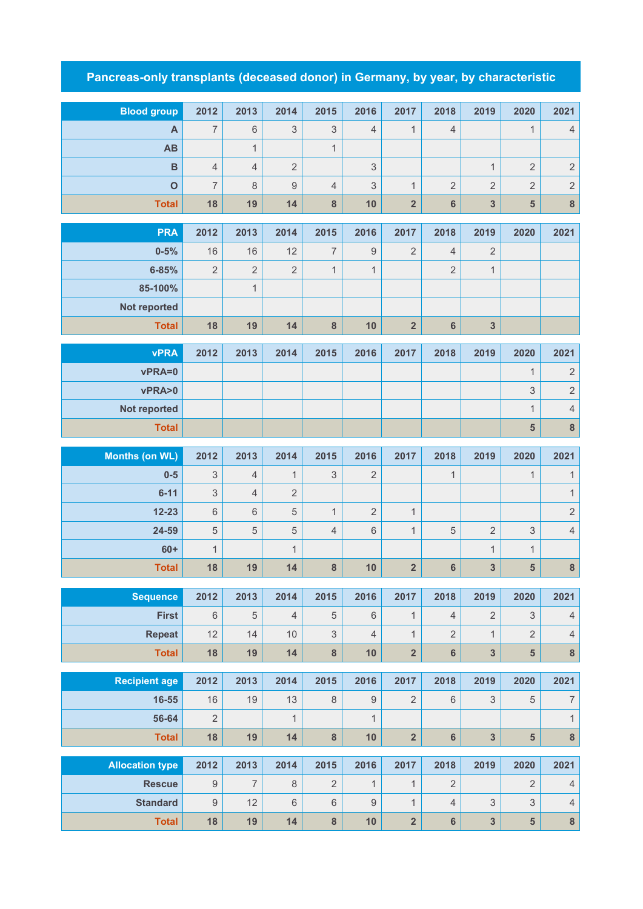## **Pancreas-only transplants (deceased donor) in Germany, by year, by characteristic**

| <b>Blood group</b>     | 2012             | 2013           | 2014           | 2015             | 2016             | 2017                    | 2018            | 2019                      | 2020                    | 2021                     |
|------------------------|------------------|----------------|----------------|------------------|------------------|-------------------------|-----------------|---------------------------|-------------------------|--------------------------|
| A                      | $\overline{7}$   | 6              | 3              | $\mathfrak 3$    | $\overline{4}$   | $\mathbf{1}$            | $\overline{4}$  |                           | $\mathbf{1}$            | $\overline{4}$           |
| <b>AB</b>              |                  | $\mathbf{1}$   |                | $\mathbf{1}$     |                  |                         |                 |                           |                         |                          |
| B                      | $\overline{4}$   | $\overline{4}$ | $\overline{2}$ |                  | $\sqrt{3}$       |                         |                 | $\mathbf{1}$              | $\sqrt{2}$              | $\sqrt{2}$               |
| $\overline{O}$         | $\overline{7}$   | 8              | $9$            | $\overline{4}$   | 3                | $\mathbf{1}$            | $\overline{2}$  | $\overline{2}$            | $\overline{2}$          | $\sqrt{2}$               |
| <b>Total</b>           | 18               | 19             | 14             | 8                | 10               | $\overline{2}$          | 6               | 3                         | 5                       | $\bf 8$                  |
| <b>PRA</b>             | 2012             | 2013           | 2014           | 2015             | 2016             | 2017                    | 2018            | 2019                      | 2020                    | 2021                     |
| $0 - 5%$               | 16               | 16             | 12             | $\overline{7}$   | $\boldsymbol{9}$ | $\overline{2}$          | $\overline{4}$  | $\overline{2}$            |                         |                          |
| $6 - 85%$              | $\overline{2}$   | $\overline{2}$ | $\overline{2}$ | $\mathbf{1}$     | $\mathbf{1}$     |                         | 2               | $\mathbf 1$               |                         |                          |
| 85-100%                |                  | $\mathbf{1}$   |                |                  |                  |                         |                 |                           |                         |                          |
| Not reported           |                  |                |                |                  |                  |                         |                 |                           |                         |                          |
| <b>Total</b>           | 18               | 19             | 14             | $\bf 8$          | 10               | $\overline{\mathbf{2}}$ | $6\phantom{a}$  | $\mathbf{3}$              |                         |                          |
|                        |                  |                |                |                  |                  |                         |                 |                           |                         |                          |
| <b>vPRA</b>            | 2012             | 2013           | 2014           | 2015             | 2016             | 2017                    | 2018            | 2019                      | 2020                    | 2021                     |
| vPRA=0                 |                  |                |                |                  |                  |                         |                 |                           | $\mathbf{1}$            | $\sqrt{2}$               |
| vPRA>0                 |                  |                |                |                  |                  |                         |                 |                           | 3                       | $\sqrt{2}$               |
| Not reported           |                  |                |                |                  |                  |                         |                 |                           | $\mathbf{1}$            | $\sqrt{4}$               |
| <b>Total</b>           |                  |                |                |                  |                  |                         |                 |                           | $\overline{\mathbf{5}}$ | $\bf 8$                  |
| <b>Months (on WL)</b>  | 2012             | 2013           | 2014           | 2015             | 2016             | 2017                    | 2018            | 2019                      | 2020                    | 2021                     |
| $0-5$                  | 3                | $\overline{4}$ | $\mathbf{1}$   | 3                | $\overline{2}$   |                         | $\mathbf{1}$    |                           | $\mathbf{1}$            | $\mathbf{1}$             |
| $6 - 11$               | 3                | $\overline{4}$ | $\overline{2}$ |                  |                  |                         |                 |                           |                         | $\mathbf{1}$             |
| $12 - 23$              | 6                | 6              | 5              | $\mathbf{1}$     | $\overline{2}$   | $\mathbf{1}$            |                 |                           |                         | $\sqrt{2}$               |
| 24-59                  | 5                | 5              | 5              | $\overline{4}$   | $\,6\,$          | $\mathbf{1}$            | $\sqrt{5}$      | $\overline{2}$            | $\mathsf 3$             | $\sqrt{4}$               |
| $60+$                  | $\mathbf{1}$     |                | $\mathbf{1}$   |                  |                  |                         |                 | $\mathbf 1$               | $\mathbf{1}$            |                          |
| <b>Total</b>           | 18               | 19             | 14             | $\boldsymbol{8}$ | 10               | $\overline{\mathbf{2}}$ | $6\phantom{1}6$ | $\mathbf{3}$              | 5                       | $\bf 8$                  |
| <b>Sequence</b>        | 2012             | 2013           | 2014           | 2015             | 2016             | 2017                    | 2018            | 2019                      | 2020                    | 2021                     |
| <b>First</b>           | 6                | 5              | $\overline{4}$ | $\sqrt{5}$       | $6\phantom{1}$   | $\mathbf{1}$            | $\overline{4}$  | $\overline{2}$            | 3                       | $\sqrt{4}$               |
| <b>Repeat</b>          | 12               | 14             | 10             | $\mathfrak{S}$   | $\overline{4}$   | $\mathbf{1}$            | $\overline{2}$  | $\mathbf{1}$              | $\overline{2}$          | $\sqrt{4}$               |
| <b>Total</b>           | 18               | 19             | 14             | $\bf 8$          | 10               | $\overline{\mathbf{2}}$ | $\bf 6$         | 3                         | 5                       | $\bf 8$                  |
|                        |                  |                |                |                  |                  |                         |                 |                           |                         |                          |
| <b>Recipient age</b>   | 2012             | 2013           | 2014           | 2015             | 2016             | 2017                    | 2018            | 2019                      | 2020                    | 2021                     |
| $16 - 55$              | 16               | 19             | 13             | $\,8\,$          | $\boldsymbol{9}$ | $\overline{2}$          | $\,6\,$         | $\ensuremath{\mathsf{3}}$ | $\,$ 5 $\,$             | $\overline{\mathcal{I}}$ |
| 56-64                  | $\overline{2}$   |                | $\mathbf{1}$   |                  | $\overline{1}$   |                         |                 |                           |                         | $\mathbf{1}$             |
| <b>Total</b>           | 18               | 19             | 14             | $\bf 8$          | 10               | $\overline{\mathbf{2}}$ | $\bf 6$         | 3                         | ${\bf 5}$               | $\bf 8$                  |
| <b>Allocation type</b> | 2012             | 2013           | 2014           | 2015             | 2016             | 2017                    | 2018            | 2019                      | 2020                    | 2021                     |
| <b>Rescue</b>          | $\boldsymbol{9}$ | $\overline{7}$ | 8              | $\overline{2}$   | $\mathbf{1}$     | $\mathbf{1}$            | $\overline{2}$  |                           | $\overline{2}$          | $\sqrt{4}$               |
|                        |                  |                |                |                  |                  |                         |                 |                           |                         |                          |
| <b>Standard</b>        | $\mathsf g$      | 12             | 6              | $\,6\,$          | $\hbox{9}$       | $\mathbf{1}$            | $\overline{4}$  | 3                         | 3                       | $\sqrt{4}$               |